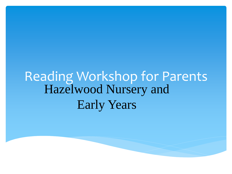#### Reading Workshop for Parents Hazelwood Nursery and Early Years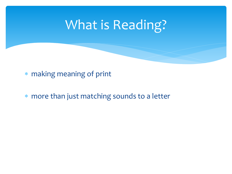# What is Reading?

making meaning of print

more than just matching sounds to a letter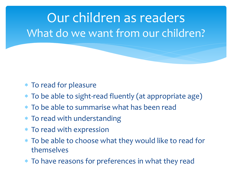Our children as readers What do we want from our children?

- To read for pleasure
- To be able to sight-read fluently (at appropriate age)
- To be able to summarise what has been read
- \* To read with understanding
- To read with expression
- To be able to choose what they would like to read for themselves
- To have reasons for preferences in what they read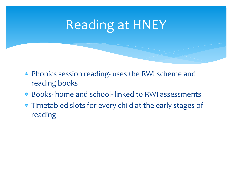# Reading at HNEY

- Phonics session reading- uses the RWI scheme and reading books
- Books- home and school- linked to RWI assessments
- Timetabled slots for every child at the early stages of reading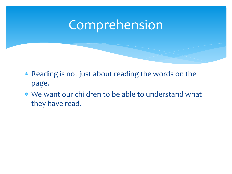#### Comprehension

- Reading is not just about reading the words on the page.
- We want our children to be able to understand what they have read.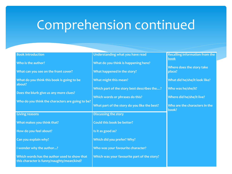### Comprehension continued

| <b>Book introduction</b>                                                                   | Understanding what you have read             | <b>Recalling information from the</b><br>book |
|--------------------------------------------------------------------------------------------|----------------------------------------------|-----------------------------------------------|
| Who is the author?                                                                         | What do you think is happening here?         |                                               |
| What can you see on the front cover?                                                       | What happened in the story?                  | Where does the story take<br>place?           |
| What do you think this book is going to be<br>about?                                       | What might this mean?                        | What did he/she/it look like?                 |
|                                                                                            | Which part of the story best describes the?  | Who was he/she/it?                            |
| Does the blurb give us any more clues?                                                     | Which words or phrases do this?              | Where did he/she/it live?                     |
| Who do you think the characters are going to be?                                           | What part of the story do you like the best? | Who are the characters in the                 |
|                                                                                            |                                              | book?                                         |
| <b>Giving reasons</b>                                                                      | <b>Discussing the story</b>                  |                                               |
| What makes you think that?                                                                 | Could this book be better?                   |                                               |
| How do you feel about?                                                                     | Is it as good as?                            |                                               |
| Can you explain why?                                                                       | Which did you prefer? Why?                   |                                               |
| I wonder why the author?                                                                   | Who was your favourite character?            |                                               |
| Which words has the author used to show that<br>this character is funny/naughty/mean/kind? | Which was your favourite part of the story?  |                                               |
|                                                                                            |                                              |                                               |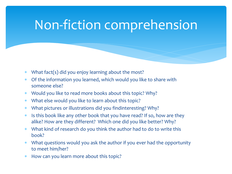### Non-fiction comprehension

- What fact(s) did you enjoy learning about the most?
- Of the information you learned, which would you like to share with someone else?
- Would you like to read more books about this topic? Why?
- What else would you like to learn about this topic?
- What pictures or illustrations did you findinteresting? Why?
- Is this book like any other book that you have read? If so, how are they alike? How are they different? Which one did you like better? Why?
- What kind of research do you think the author had to do to write this book?
- What questions would you ask the author if you ever had the opportunity to meet him/her?
- \* How can you learn more about this topic?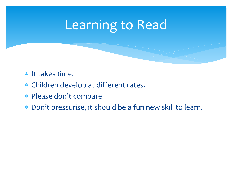# Learning to Read

- \* It takes time.
- Children develop at different rates.
- Please don't compare.
- Don't pressurise, it should be a fun new skill to learn.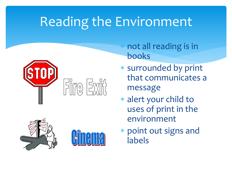# Reading the Environment



 not all reading is in books

- surrounded by print that communicates a message
- alert your child to uses of print in the environment
- point out signs and labels



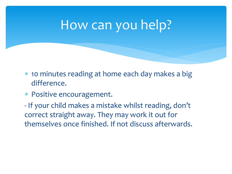#### How can you help?

- 10 minutes reading at home each day makes a big difference.
- Positive encouragement.
- If your child makes a mistake whilst reading, don't correct straight away. They may work it out for themselves once finished. If not discuss afterwards.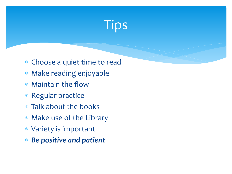

- Choose a quiet time to read
- Make reading enjoyable
- Maintain the flow
- Regular practice
- Talk about the books
- Make use of the Library
- Variety is important
- *Be positive and patient*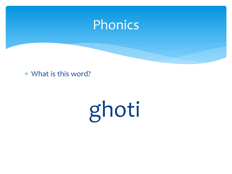

What is this word?

ghoti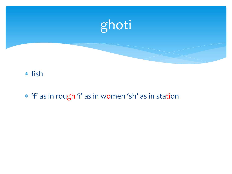

#### fish

'f' as in rough 'i' as in women 'sh' as in station